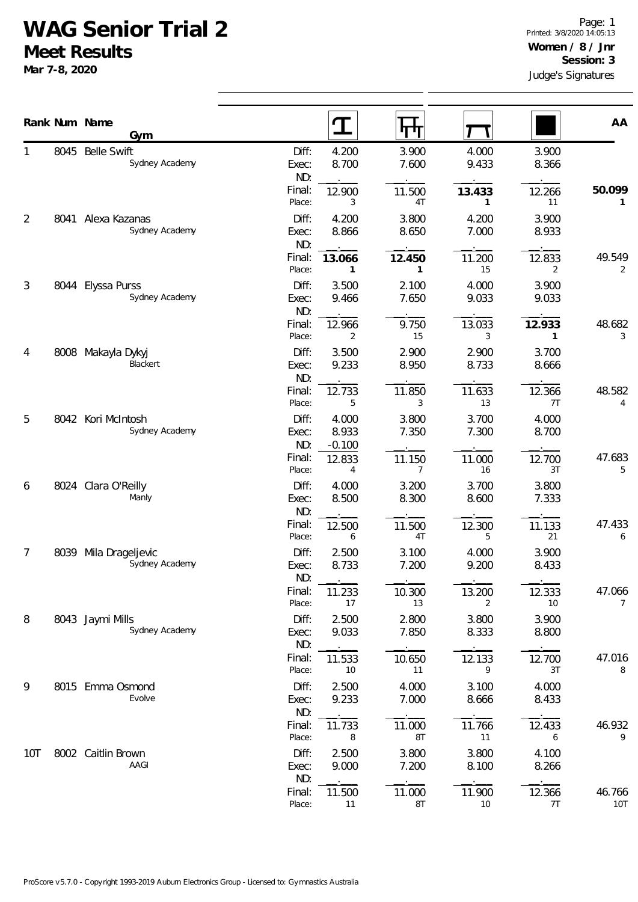## **WAG Senior Trial 2**

**Meet Results**

**Mar 7-8, 2020**

|     |      | Rank Num Name<br>Gym                 |                       |                            |                          |                |                        |                      |
|-----|------|--------------------------------------|-----------------------|----------------------------|--------------------------|----------------|------------------------|----------------------|
|     |      |                                      |                       | I                          | ΨЛ                       |                |                        | AA                   |
| 1   | 8045 | <b>Belle Swift</b><br>Sydney Academy | Diff:<br>Exec:<br>ND: | 4.200<br>8.700             | 3.900<br>7.600           | 4.000<br>9.433 | 3.900<br>8.366         |                      |
|     |      |                                      | Final:<br>Place:      | 12.900<br>3                | 11.500<br>4T             | 13.433<br>1    | 12.266<br>11           | 50.099<br>1          |
| 2   | 8041 | Alexa Kazanas<br>Sydney Academy      | Diff:<br>Exec:<br>ND: | 4.200<br>8.866             | 3.800<br>8.650           | 4.200<br>7.000 | 3.900<br>8.933         |                      |
|     |      |                                      | Final:<br>Place:      | 13.066<br>$\mathbf{1}$     | 12.450<br>$\mathbf{1}$   | 11.200<br>15   | 12.833<br>2            | 49.549<br>2          |
| 3   |      | 8044 Elyssa Purss<br>Sydney Academy  | Diff:<br>Exec:<br>ND: | 3.500<br>9.466             | 2.100<br>7.650           | 4.000<br>9.033 | 3.900<br>9.033         |                      |
|     |      |                                      | Final:<br>Place:      | 12.966<br>2                | 9.750<br>15              | 13.033<br>3    | 12.933<br>$\mathbf{1}$ | 48.682<br>3          |
| 4   |      | 8008 Makayla Dykyj<br>Blackert       | Diff:<br>Exec:<br>ND: | 3.500<br>9.233             | 2.900<br>8.950           | 2.900<br>8.733 | 3.700<br>8.666         |                      |
|     |      |                                      | Final:<br>Place:      | 12.733<br>5                | 11.850<br>3              | 11.633<br>13   | 12.366<br>7T           | 48.582<br>4          |
| 5   | 8042 | Kori McIntosh<br>Sydney Academy      | Diff:<br>Exec:<br>ND: | 4.000<br>8.933<br>$-0.100$ | 3.800<br>7.350           | 3.700<br>7.300 | 4.000<br>8.700         |                      |
|     |      |                                      | Final:<br>Place:      | 12.833<br>4                | 11.150<br>$\overline{7}$ | 11.000<br>16   | 12.700<br>3T           | 47.683<br>5          |
| 6   |      | 8024 Clara O'Reilly<br>Manly         | Diff:<br>Exec:<br>ND: | 4.000<br>8.500             | 3.200<br>8.300           | 3.700<br>8.600 | 3.800<br>7.333         |                      |
|     |      |                                      | Final:<br>Place:      | 12.500<br>6                | 11.500<br>4T             | 12.300<br>5    | 11.133<br>21           | 47.433<br>6          |
| 7   | 8039 | Mila Drageljevic<br>Sydney Academy   | Diff:<br>Exec:<br>ND: | 2.500<br>8.733             | 3.100<br>7.200           | 4.000<br>9.200 | 3.900<br>8.433         |                      |
|     |      |                                      | Final:<br>Place:      | 11.233<br>17               | 10.300<br>13             | 13.200<br>2    | 12.333<br>10           | 47.066<br>7          |
| 8   |      | 8043 Jaymi Mills<br>Sydney Academy   | Diff:<br>Exec:<br>ND: | 2.500<br>9.033             | 2.800<br>7.850           | 3.800<br>8.333 | 3.900<br>8.800         |                      |
|     |      |                                      | Final:<br>Place:      | 11.533<br>10               | 10.650<br>11             | 12.133<br>9    | 12.700<br>3T           | 47.016<br>8          |
| 9   |      | 8015 Emma Osmond<br>Evolve           | Diff:<br>Exec:<br>ND: | 2.500<br>9.233             | 4.000<br>7.000           | 3.100<br>8.666 | 4.000<br>8.433         |                      |
|     |      |                                      | Final:<br>Place:      | 11.733<br>8                | 11.000<br>8T             | 11.766<br>11   | 12.433<br>6            | 46.932<br>9          |
| 10T |      | 8002 Caitlin Brown<br>AAGI           | Diff:<br>Exec:<br>ND: | 2.500<br>9.000             | 3.800<br>7.200           | 3.800<br>8.100 | 4.100<br>8.266         |                      |
|     |      |                                      | Final:<br>Place:      | 11.500<br>11               | 11.000<br>8T             | 11.900<br>10   | 12.366<br>7T           | 46.766<br><b>10T</b> |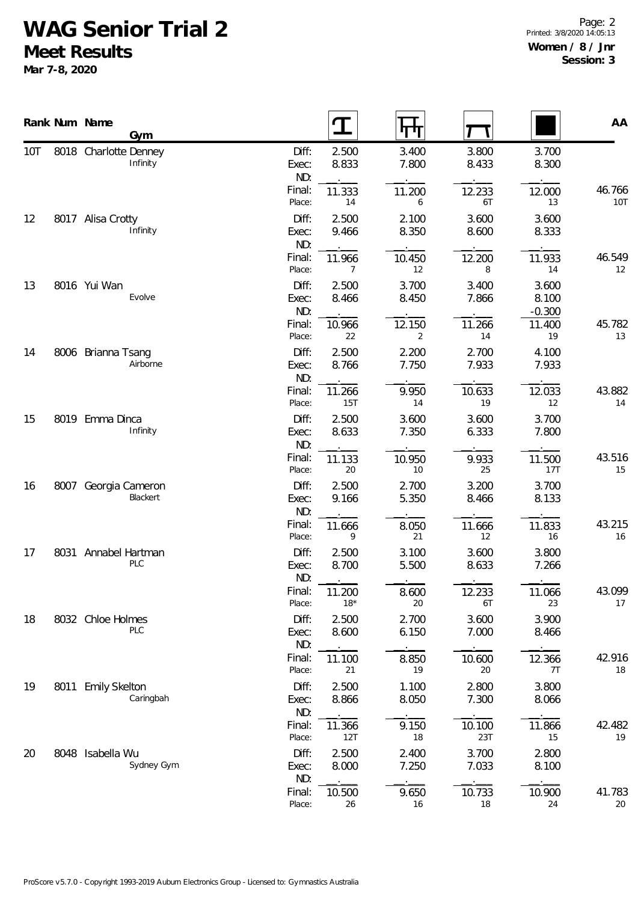## **WAG Senior Trial 2**

**Meet Results**

**Mar 7-8, 2020**

|                |      | Rank Num Name<br>Gym              |                       |                          |                |                |                            | AA                   |
|----------------|------|-----------------------------------|-----------------------|--------------------------|----------------|----------------|----------------------------|----------------------|
| 10T            |      | 8018 Charlotte Denney<br>Infinity | Diff:<br>Exec:<br>ND: | 2.500<br>8.833           | 3.400<br>7.800 | 3.800<br>8.433 | 3.700<br>8.300             |                      |
|                |      |                                   | Final:<br>Place:      | 11.333<br>14             | 11.200<br>6    | 12.233<br>6T   | 12.000<br>13               | 46.766<br><b>10T</b> |
| 12             |      | 8017 Alisa Crotty<br>Infinity     | Diff:<br>Exec:<br>ND: | 2.500<br>9.466           | 2.100<br>8.350 | 3.600<br>8.600 | 3.600<br>8.333             |                      |
|                |      |                                   | Final:<br>Place:      | 11.966<br>$\overline{7}$ | 10.450<br>12   | 12.200<br>8    | 11.933<br>14               | 46.549<br>12         |
| 13             |      | 8016 Yui Wan<br>Evolve            | Diff:<br>Exec:<br>ND: | 2.500<br>8.466           | 3.700<br>8.450 | 3.400<br>7.866 | 3.600<br>8.100<br>$-0.300$ |                      |
|                |      |                                   | Final:<br>Place:      | 10.966<br>22             | 12.150<br>2    | 11.266<br>14   | 11.400<br>19               | 45.782<br>13         |
| 14<br>15<br>16 |      | 8006 Brianna Tsang<br>Airborne    | Diff:<br>Exec:<br>ND: | 2.500<br>8.766           | 2.200<br>7.750 | 2.700<br>7.933 | 4.100<br>7.933             |                      |
|                |      |                                   | Final:<br>Place:      | 11.266<br>15T            | 9.950<br>14    | 10.633<br>19   | 12.033<br>12               | 43.882<br>14         |
|                |      | 8019 Emma Dinca<br>Infinity       | Diff:<br>Exec:<br>ND: | 2.500<br>8.633           | 3.600<br>7.350 | 3.600<br>6.333 | 3.700<br>7.800             |                      |
|                |      |                                   | Final:<br>Place:      | 11.133<br>20             | 10.950<br>10   | 9.933<br>25    | 11.500<br>17T              | 43.516<br>15         |
|                |      | 8007 Georgia Cameron<br>Blackert  | Diff:<br>Exec:<br>ND: | 2.500<br>9.166           | 2.700<br>5.350 | 3.200<br>8.466 | 3.700<br>8.133             |                      |
|                |      |                                   | Final:<br>Place:      | 11.666<br>9              | 8.050<br>21    | 11.666<br>12   | 11.833<br>16               | 43.215<br>16         |
| 17             |      | 8031 Annabel Hartman<br>PLC       | Diff:<br>Exec:<br>ND: | 2.500<br>8.700           | 3.100<br>5.500 | 3.600<br>8.633 | 3.800<br>7.266             |                      |
|                |      |                                   | Final:<br>Place:      | 11.200<br>$18*$          | 8.600<br>20    | 12.233<br>6T   | 11.066<br>23               | 43.099<br>17         |
| 18             |      | 8032 Chloe Holmes<br>PLC          | Diff:<br>Exec:<br>ND: | 2.500<br>8.600           | 2.700<br>6.150 | 3.600<br>7.000 | 3.900<br>8.466             |                      |
|                |      |                                   | Final:<br>Place:      | 11.100<br>21             | 8.850<br>19    | 10.600<br>20   | 12.366<br>7T               | 42.916<br>18         |
| 19             | 8011 | <b>Emily Skelton</b><br>Caringbah | Diff:<br>Exec:<br>ND: | 2.500<br>8.866           | 1.100<br>8.050 | 2.800<br>7.300 | 3.800<br>8.066             |                      |
|                |      |                                   | Final:<br>Place:      | 11.366<br>12T            | 9.150<br>18    | 10.100<br>23T  | 11.866<br>15               | 42.482<br>19         |
| 20             |      | 8048 Isabella Wu<br>Sydney Gym    | Diff:<br>Exec:<br>ND: | 2.500<br>8.000           | 2.400<br>7.250 | 3.700<br>7.033 | 2.800<br>8.100             |                      |
|                |      |                                   | Final:<br>Place:      | 10.500<br>26             | 9.650<br>16    | 10.733<br>18   | 10.900<br>24               | 41.783<br>20         |